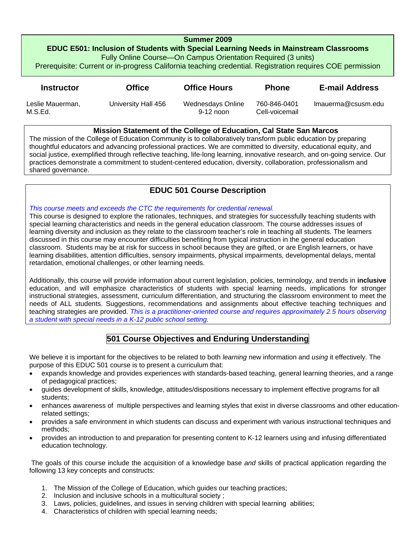#### **Summer 2009**

**EDUC E501: Inclusion of Students with Special Learning Needs in Mainstream Classrooms**  Fully Online Course—On Campus Orientation Required (3 units)

Prerequisite: Current or in-progress California teaching credential. Registration requires COE permission

| <b>Instructor</b>           | <b>Office</b>       | <b>Office Hours</b>              | <b>Phone</b>                   | <b>E-mail Address</b> |
|-----------------------------|---------------------|----------------------------------|--------------------------------|-----------------------|
| Leslie Mauerman,<br>M.S.Ed. | University Hall 456 | Wednesdays Online<br>$9-12$ noon | 760-846-0401<br>Cell-voicemail | lmauerma@csusm.edu    |

#### **Mission Statement of the College of Education, Cal State San Marcos**

The mission of the College of Education Community is to collaboratively transform public education by preparing thoughtful educators and advancing professional practices. We are committed to diversity, educational equity, and social justice, exemplified through reflective teaching, life-long learning, innovative research, and on-going service. Our practices demonstrate a commitment to student-centered education, diversity, collaboration, professionalism and shared governance.

## **EDUC 501 Course Description**

#### *This course meets and exceeds the CTC the requirements for credential renewal.*

This course is designed to explore the rationales, techniques, and strategies for successfully teaching students with special learning characteristics and needs in the general education classroom. The course addresses issues of learning diversity and inclusion as they relate to the classroom teacher's role in teaching all students. The learners discussed in this course may encounter difficulties benefiting from typical instruction in the general education classroom. Students may be at risk for success in school because they are gifted, or are English learners, or have learning disabilities, attention difficulties, sensory impairments, physical impairments, developmental delays, mental retardation, emotional challenges, or other learning needs.

 *a student with special needs in a K-12 public school setting.* Additionally, this course will provide information about current legislation, policies, terminology, and trends in **inclusive**  education, and will emphasize characteristics of students with special learning needs, implications for stronger instructional strategies, assessment, curriculum differentiation, and structuring the classroom environment to meet the needs of ALL students. Suggestions, recommendations and assignments about effective teaching techniques and teaching strategies are provided. *This is a practitioner-oriented course and requires approximately 2.5 hours observing* 

## **501 Course Objectives and Enduring Understanding**

We believe it is important for the objectives to be related to both *learning* new information and *using* it effectively. The purpose of this EDUC 501 course is to present a curriculum that:

- expands knowledge and provides experiences with standards-based teaching, general learning theories, and a range of pedagogical practices;
- guides development of skills, knowledge, attitudes/dispositions necessary to implement effective programs for all students;
- enhances awareness of multiple perspectives and learning styles that exist in diverse classrooms and other educationrelated settings;
- provides a safe environment in which students can discuss and experiment with various instructional techniques and methods;
- provides an introduction to and preparation for presenting content to K-12 learners using and infusing differentiated education technology.

The goals of this course include the acquisition of a knowledge base *and* skills of practical application regarding the following 13 key concepts and constructs:

- 1. The Mission of the College of Education, which guides our teaching practices;
- 2. Inclusion and inclusive schools in a multicultural society ;
- 3. Laws, policies, guidelines, and issues in serving children with special learning abilities;
- 4. Characteristics of children with special learning needs;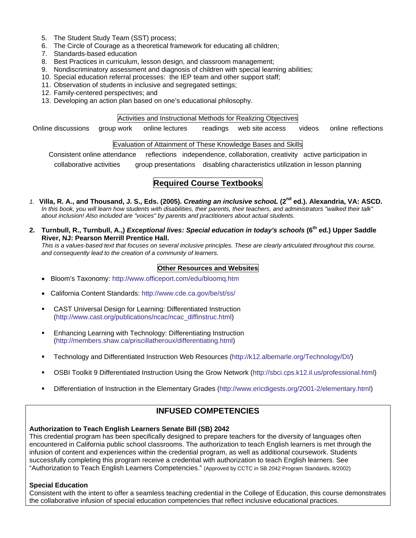- 5. The Student Study Team (SST) process;
- 6. The Circle of Courage as a theoretical framework for educating all children;
- 7. Standards-based education
- 8. Best Practices in curriculum, lesson design, and classroom management;
- 9. Nondiscriminatory assessment and diagnosis of children with special learning abilities;
- 10. Special education referral processes: the IEP team and other support staff;
- 11. Observation of students in inclusive and segregated settings;
- 12. Family-centered perspectives; and
- 13. Developing an action plan based on one's educational philosophy.

#### Activities and Instructional Methods for Realizing Objectives

online lectures Online discussions group work online lectures readings web site access videos online reflections

#### Evaluation of Attainment of These Knowledge Bases and Skills

Consistent online attendance reflections independence, collaboration, creativity active participation in

collaborative activities group presentations disabling characteristics utilization in lesson planning

## **Required Course Textbooks**

- *1.* **Villa, R. A., and Thousand, J. S., Eds. (2005).** *Creating an inclusive schooL* **(2nd ed.). Alexandria, VA: ASCD.**  *In this book, you will learn how students with disabilities, their parents, their teachers, and administrators "walked their talk" about inclusion! Also included are "voices" by parents and practitioners about actual students.*
- **2. Turnbull, R., Turnbull, A.,)** *Exceptional lives: Special education in today's schools* **(6th ed.) Upper Saddle River, NJ: Pearson Merrill Prentice Hall.**

*This is a values-based text that focuses on several inclusive principles. These are clearly articulated throughout this course, and consequently lead to the creation of a community of learners.* 

#### **Other Resources and Websites**

- Bloom's Taxonomy: http://www.officeport.com/edu/bloomq.htm
- California Content Standards: http://www.cde.ca.gov/be/st/ss/
- CAST Universal Design for Learning: Differentiated Instruction (http://www.cast.org/publications/ncac/ncac\_diffinstruc.html)
- **Enhancing Learning with Technology: Differentiating Instruction** (http://members.shaw.ca/priscillatheroux/differentiating.html)
- Technology and Differentiated Instruction Web Resources (http://k12.albemarle.org/Technology/DI/)
- OSBI Toolkit 9 Differentiated Instruction Using the Grow Network (http://sbci.cps.k12.il.us/professional.html)
- Differentiation of Instruction in the Elementary Grades (http://www.ericdigests.org/2001-2/elementary.html)

## **INFUSED COMPETENCIES**

## **Authorization to Teach English Learners Senate Bill (SB) 2042**

This credential program has been specifically designed to prepare teachers for the diversity of languages often encountered in California public school classrooms. The authorization to teach English learners is met through the infusion of content and experiences within the credential program, as well as additional coursework. Students successfully completing this program receive a credential with authorization to teach English learners. See "Authorization to Teach English Learners Competencies." (Approved by CCTC in SB 2042 Program Standards, 8/2002)

### **Special Education**

Consistent with the intent to offer a seamless teaching credential in the College of Education, this course demonstrates the collaborative infusion of special education competencies that reflect inclusive educational practices.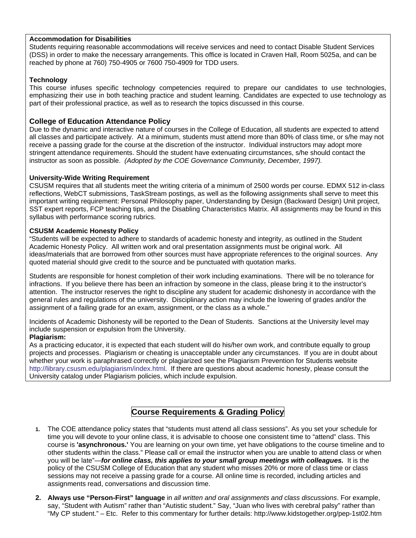#### **Accommodation for Disabilities**

Students requiring reasonable accommodations will receive services and need to contact Disable Student Services (DSS) in order to make the necessary arrangements. This office is located in Craven Hall, Room 5025a, and can be reached by phone at 760) 750-4905 or 7600 750-4909 for TDD users.

#### **Technology**

This course infuses specific technology competencies required to prepare our candidates to use technologies, emphasizing their use in both teaching practice and student learning. Candidates are expected to use technology as part of their professional practice, as well as to research the topics discussed in this course.

#### **College of Education Attendance Policy**

 instructor as soon as possible. *(Adopted by the COE Governance Community, December, 1997).*  Due to the dynamic and interactive nature of courses in the College of Education, all students are expected to attend all classes and participate actively. At a minimum, students must attend more than 80% of class time, or s/he may not receive a passing grade for the course at the discretion of the instructor. Individual instructors may adopt more stringent attendance requirements. Should the student have extenuating circumstances, s/he should contact the

#### **University-Wide Writing Requirement**

CSUSM requires that all students meet the writing criteria of a minimum of 2500 words per course. EDMX 512 in-class reflections, WebCT submissions, TaskStream postings, as well as the following assignments shall serve to meet this important writing requirement: Personal Philosophy paper, Understanding by Design (Backward Design) Unit project, SST expert reports, FCP teaching tips, and the Disabling Characteristics Matrix. All assignments may be found in this syllabus with performance scoring rubrics.

#### **CSUSM Academic Honesty Policy**

"Students will be expected to adhere to standards of academic honesty and integrity, as outlined in the Student Academic Honesty Policy. All written work and oral presentation assignments must be original work. All ideas/materials that are borrowed from other sources must have appropriate references to the original sources. Any quoted material should give credit to the source and be punctuated with quotation marks.

Students are responsible for honest completion of their work including examinations. There will be no tolerance for infractions. If you believe there has been an infraction by someone in the class, please bring it to the instructor's attention. The instructor reserves the right to discipline any student for academic dishonesty in accordance with the general rules and regulations of the university. Disciplinary action may include the lowering of grades and/or the assignment of a failing grade for an exam, assignment, or the class as a whole."

Incidents of Academic Dishonesty will be reported to the Dean of Students. Sanctions at the University level may include suspension or expulsion from the University.

#### **Plagiarism:**

As a practicing educator, it is expected that each student will do his/her own work, and contribute equally to group projects and processes. Plagiarism or cheating is unacceptable under any circumstances. If you are in doubt about whether your work is paraphrased correctly or plagiarized see the Plagiarism Prevention for Students website http://library.csusm.edu/plagiarism/index.html. If there are questions about academic honesty, please consult the University catalog under Plagiarism policies, which include expulsion.

## **Course Requirements & Grading Policy**

- **1.** The COE attendance policy states that "students must attend all class sessions". As you set your schedule for time you will devote to your online class, it is advisable to choose one consistent time to "attend" class. This course is **'asynchronous.'** You are learning on your own time, yet have obligations to the course timeline and to other students within the class." Please call or email the instructor when you are unable to attend class or when you will be late"—*for online class, this applies to your small group meetings with colleagues.* It is the policy of the CSUSM College of Education that any student who misses 20% or more of class time or class sessions may not receive a passing grade for a course. All online time is recorded, including articles and assignments read, conversations and discussion time.
- **2. Always use "Person-First" language** in *all written and oral assignments and class discussions*. For example, say, "Student with Autism" rather than "Autistic student." Say, "Juan who lives with cerebral palsy" rather than "My CP student." – Etc. Refer to this commentary for further details: http://www.kidstogether.org/pep-1st02.htm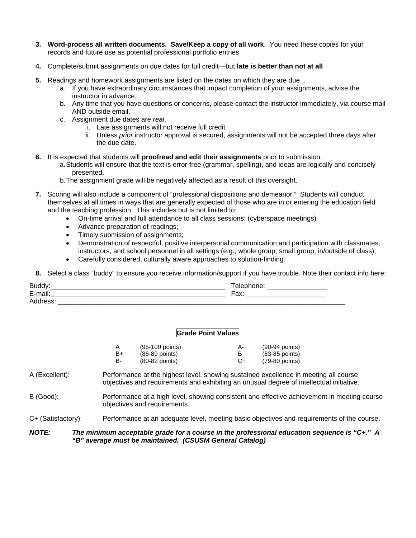- **3. Word-process all written documents. Save/Keep a copy of all work**. You need these copies for your records and future use as potential professional portfolio entries.
- **4.** Complete/submit assignments on due dates for full credit—but **late is better than not at all**
- **5.** Readings and homework assignments are listed on the dates on which they are due. .
	- a. If you have extraordinary circumstances that impact completion of your assignments, advise the instructor in advance.
	- b. Any time that you have questions or concerns, please contact the instructor immediately, via course mail AND outside email.
	- c. Assignment due dates are *real*.
		- i. Late assignments will not receive full credit.
		- ii. Unless *prior* instructor approval is secured, assignments will not be accepted three days after the due date.
- **6.** It is expected that students will **proofread and edit their assignments** prior to submission.
	- a.Students will ensure that the text is error-free (grammar, spelling), and ideas are logically and concisely presented.
	- b.The assignment grade will be negatively affected as a result of this oversight.
- **7.** Scoring will also include a component of "professional dispositions and demeanor." Students will conduct themselves at all times in ways that are generally expected of those who are in or entering the education field and the teaching profession. This includes but is not limited to:
	- On-time arrival and full attendance to all class sessions; (cyberspace meetings)
	- Advance preparation of readings;
	- Timely submission of assignments;
	- Demonstration of respectful, positive interpersonal communication and participation with classmates, instructors, and school personnel in all settings (e.g., whole group, small group, in/outside of class);
	- Carefully considered, culturally aware approaches to solution-finding.

**8.** Select a class "buddy" to ensure you receive information/support if you have trouble. Note their contact info here:

| <b>Bug</b>                             |                     |
|----------------------------------------|---------------------|
| $\overline{ }$<br><br>د حدد<br>--<br>- | $T_{\alpha}$<br>un. |
| Λ<br>_                                 |                     |

#### **Grade Point Values**

|    | (95-100 points)  | А- | (90-94 points)   |
|----|------------------|----|------------------|
| B+ | $(86-89$ points) |    | $(83-85$ points) |
| в- | $(80-82$ points) | C+ | (79-80 points)   |

- A (Excellent): Performance at the highest level, showing sustained excellence in meeting all course objectives and requirements and exhibiting an unusual degree of intellectual initiative.
- B (Good): Performance at a high level, showing consistent and effective achievement in meeting course objectives and requirements.

C+ (Satisfactory): Performance at an adequate level, meeting basic objectives and requirements of the course.

#### *NOTE: The minimum acceptable grade for a course in the professional education sequence is "C+." A "B" average must be maintained. (CSUSM General Catalog)*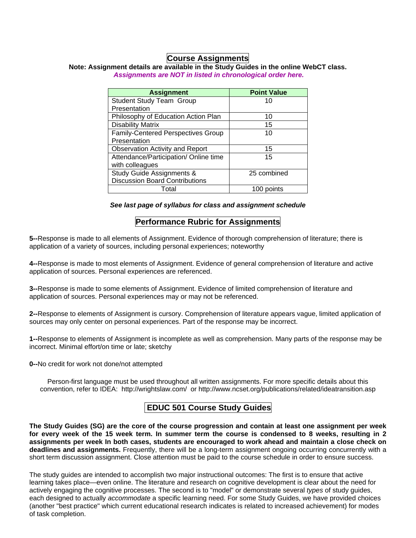## **Course Assignments**

### **Note: Assignment details are available in the Study Guides in the online WebCT class.**   *Assignments are NOT in listed in chronological order here.*

| <b>Assignment</b>                         | <b>Point Value</b> |
|-------------------------------------------|--------------------|
| <b>Student Study Team Group</b>           | 10                 |
| Presentation                              |                    |
| Philosophy of Education Action Plan       | 10                 |
| <b>Disability Matrix</b>                  | 15                 |
| <b>Family-Centered Perspectives Group</b> | 10                 |
| Presentation                              |                    |
| <b>Observation Activity and Report</b>    | 15                 |
| Attendance/Participation/ Online time     | 15                 |
| with colleagues                           |                    |
| Study Guide Assignments &                 | 25 combined        |
| <b>Discussion Board Contributions</b>     |                    |
| Total                                     | 100 points         |

*See last page of syllabus for class and assignment schedule* 

## **Performance Rubric for Assignments**

**5--**Response is made to all elements of Assignment. Evidence of thorough comprehension of literature; there is application of a variety of sources, including personal experiences; noteworthy

**4--**Response is made to most elements of Assignment. Evidence of general comprehension of literature and active application of sources. Personal experiences are referenced.

**3--**Response is made to some elements of Assignment. Evidence of limited comprehension of literature and application of sources. Personal experiences may or may not be referenced.

**2--**Response to elements of Assignment is cursory. Comprehension of literature appears vague, limited application of sources may only center on personal experiences. Part of the response may be incorrect.

**1--**Response to elements of Assignment is incomplete as well as comprehension. Many parts of the response may be incorrect. Minimal effort/on time or late; sketchy

**0--**No credit for work not done/not attempted

Person-first language must be used throughout all written assignments. For more specific details about this convention, refer to IDEA: http://wrightslaw.com/ or http://www.ncset.org/publications/related/ideatransition.asp

## **EDUC 501 Course Study Guides**

 **for every week of the 15 week term. In summer term the course is condensed to 8 weeks, resulting in 2 assignments per week In both cases, students are encouraged to work ahead and maintain a close check on The Study Guides (SG) are the core of the course progression and contain at least one assignment per week deadlines and assignments.** Frequently, there will be a long-term assignment ongoing occurring concurrently with a short term discussion assignment. Close attention must be paid to the course schedule in order to ensure success.

The study guides are intended to accomplish two major instructional outcomes: The first is to ensure that active learning takes place—even online. The literature and research on cognitive development is clear about the need for actively engaging the cognitive processes. The second is to "model" or demonstrate several *types* of study guides, each designed to actually *accommodate* a specific learning need. For some Study Guides, we have provided choices (another "best practice" which current educational research indicates is related to increased achievement) for modes of task completion.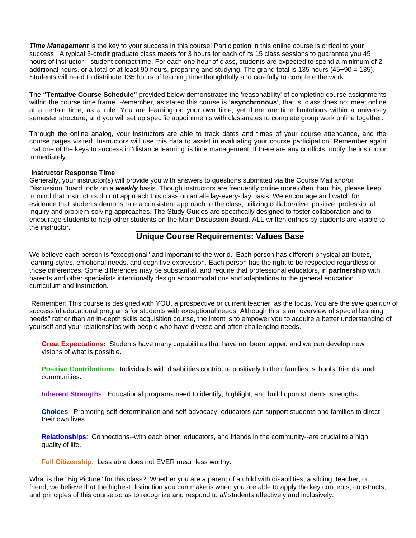*Time Management* is the key to your success in this course! Participation in this online course is critical to your success. A typical 3-credit graduate class meets for 3 hours for each of its 15 class sessions to guarantee you 45 hours of instructor—student contact time. For each one hour of class, students are expected to spend a minimum of 2 additional hours, or a total of at least 90 hours, preparing and studying. The grand total is 135 hours (45+90 = 135). Students will need to distribute 135 hours of learning time thoughtfully and carefully to complete the work.

The "Tentative Course Schedule" provided below demonstrates the 'reasonability' of completing course assignments within the course time frame. Remember, as stated this course is **'asynchronous'**, that is, class does not meet online at a certain time, as a rule. You are learning on your own time, yet there are time limitations within a university semester structure, and you will set up specific appointments with classmates to complete group work online together.

Through the online analog, your instructors are able to track dates and times of your course attendance, and the course pages visited. Instructors will use this data to assist in evaluating your course participation. Remember again that one of the keys to success in 'distance learning' is time management. If there are any conflicts, notify the instructor immediately.

#### **Instructor Response Time**

Generally, your instructor(s) will provide you with answers to questions submitted via the Course Mail and/or Discussion Board tools on a *weekly* basis. Though instructors are frequently online more often than this, please keep in mind that instructors do not approach this class on an all-day-every-day basis. We encourage and watch for evidence that students demonstrate a consistent approach to the class, utilizing collaborative, positive, professional inquiry and problem-solving approaches. The Study Guides are specifically designed to foster collaboration and to encourage students to help other students on the Main Discussion Board. ALL written entries by students are visible to the instructor.

### **Unique Course Requirements: Values Base**

We believe each person is "exceptional" and important to the world. Each person has different physical attributes, learning styles, emotional needs, and cognitive expression. Each person has the right to be respected regardless of those differences. Some differences may be substantial, and require that professional educators, in **partnership** with parents and other specialists intentionally design accommodations and adaptations to the general education curriculum and instruction.

Remember: This course is designed with YOU, a prospective or current teacher, as the focus. You are the *sine qua non* of successful educational programs for students with exceptional needs. Although this is an "overview of special learning needs" rather than an in-depth skills acquisition course, the intent is to empower you to acquire a better understanding of yourself and your relationships with people who have diverse and often challenging needs.

**Great Expectations:** Students have many capabilities that have not been tapped and we can develop new visions of what is possible.

**Positive Contributions**: Individuals with disabilities contribute positively to their families, schools, friends, and communities.

**Inherent Strengths**: Educational programs need to identify, highlight, and build upon students' strengths.

**Choices**: Promoting self-determination and self-advocacy, educators can support students and families to direct their own lives.

**Relationships**: Connections--with each other, educators, and friends in the community--are crucial to a high quality of life.

**Full Citizenship**: Less able does not EVER mean less worthy.

What is the "Big Picture" for this class? Whether you are a parent of a child with disabilities, a sibling, teacher, or friend, we believe that the highest distinction you can make is when you are able to apply the key concepts, constructs, and principles of this course so as to recognize and respond to *all* students effectively and inclusively.